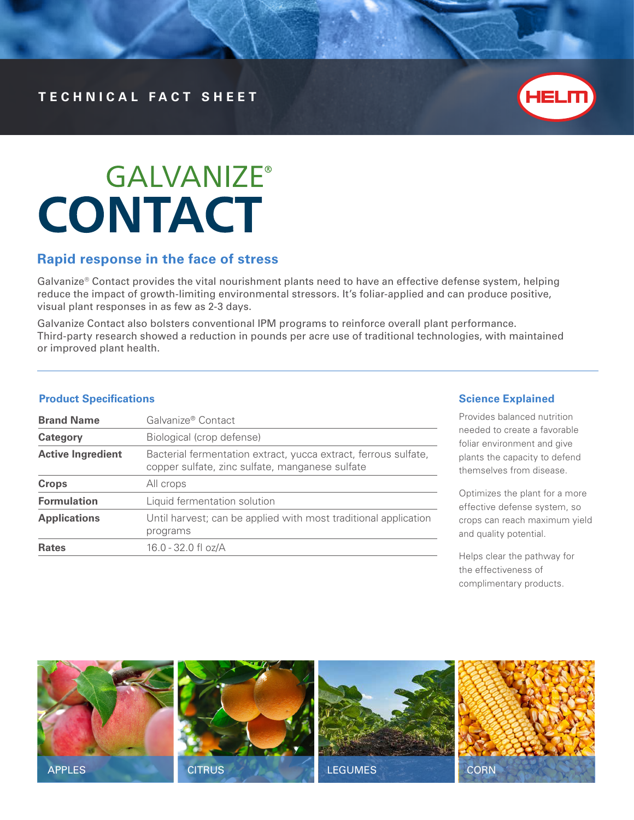

# **GALVANIZE® CONTACT**

### **Rapid response in the face of stress**

Galvanize® Contact provides the vital nourishment plants need to have an effective defense system, helping reduce the impact of growth-limiting environmental stressors. It's foliar-applied and can produce positive, visual plant responses in as few as 2-3 days.

Galvanize Contact also bolsters conventional IPM programs to reinforce overall plant performance. Third-party research showed a reduction in pounds per acre use of traditional technologies, with maintained or improved plant health.

### **Product Specifications**

| <b>Brand Name</b>        | Galvanize® Contact                                                                                                 |  |
|--------------------------|--------------------------------------------------------------------------------------------------------------------|--|
| Category                 | Biological (crop defense)                                                                                          |  |
| <b>Active Ingredient</b> | Bacterial fermentation extract, yucca extract, ferrous sulfate,<br>copper sulfate, zinc sulfate, manganese sulfate |  |
| <b>Crops</b>             | All crops                                                                                                          |  |
| <b>Formulation</b>       | Liquid fermentation solution                                                                                       |  |
| <b>Applications</b>      | Until harvest; can be applied with most traditional application<br>programs                                        |  |
| <b>Rates</b>             | 16.0 - 32.0 fl oz/A                                                                                                |  |

### **Science Explained**

Provides balanced nutrition needed to create a favorable foliar environment and give plants the capacity to defend themselves from disease.

Optimizes the plant for a more effective defense system, so crops can reach maximum yield and quality potential.

Helps clear the pathway for the effectiveness of complimentary products.